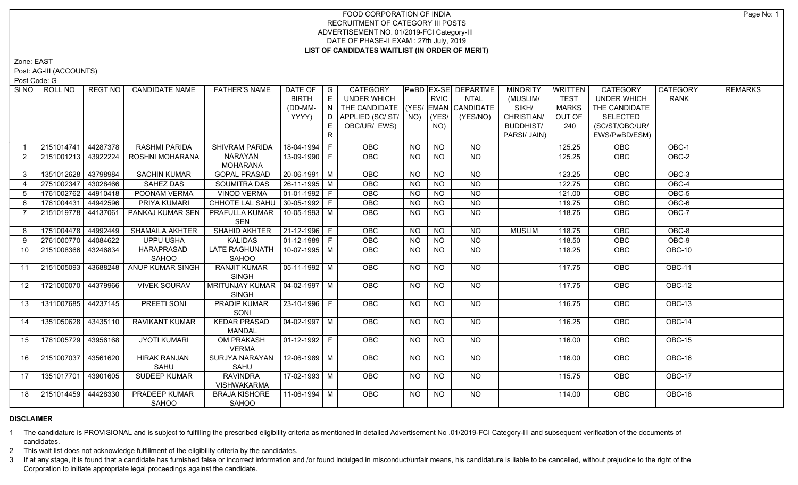## FOOD CORPORATION OF INDIA RECRUITMENT OF CATEGORY III POSTS ADVERTISEMENT NO. 01/2019-FCI Category-III DATE OF PHASE-II EXAM : 27th July, 2019 **LIST OF CANDIDATES WAITLIST (IN ORDER OF MERIT)**

Zone: EAST

Post: AG-III (ACCOUNTS)

Post Code: G

| SI NO          | ROLL NO             | REGT NO  | <b>CANDIDATE NAME</b>  | <b>FATHER'S NAME</b>             | DATE OF                | $\overline{\phantom{a}}$ G | CATEGORY                           |           |                 | PwBD EX-SE DEPARTME | <b>MINORITY</b>  | WRITTEN      | CATEGORY           | <b>CATEGORY</b> | <b>REMARKS</b> |
|----------------|---------------------|----------|------------------------|----------------------------------|------------------------|----------------------------|------------------------------------|-----------|-----------------|---------------------|------------------|--------------|--------------------|-----------------|----------------|
|                |                     |          |                        |                                  | <b>BIRTH</b>           | E                          | UNDER WHICH                        |           | <b>RVIC</b>     | <b>NTAL</b>         | (MUSLIM/         | <b>TEST</b>  | <b>UNDER WHICH</b> | <b>RANK</b>     |                |
|                |                     |          |                        |                                  | (DD-MM-                | N                          | THE CANDIDATE (YES/ EMAN CANDIDATE |           |                 |                     | SIKH/            | <b>MARKS</b> | THE CANDIDATE      |                 |                |
|                |                     |          |                        |                                  | YYYY)                  | D.                         | APPLIED (SC/ST/ $\vert$ NO)        |           | (YES/           | (YES/NO)            | CHRISTIAN/       | OUT OF       | <b>SELECTED</b>    |                 |                |
|                |                     |          |                        |                                  |                        |                            | OBC/UR/ EWS)                       |           | NO)             |                     | <b>BUDDHIST/</b> | 240          | (SC/ST/OBC/UR/     |                 |                |
|                |                     |          |                        |                                  |                        | R.                         |                                    |           |                 |                     | PARSI/ JAIN)     |              | EWS/PwBD/ESM)      |                 |                |
|                | 2151014741          | 44287378 | <b>RASHMI PARIDA</b>   | SHIVRAM PARIDA                   | 18-04-1994 F           |                            | <b>OBC</b>                         | <b>NO</b> | <b>NO</b>       | <b>NO</b>           |                  | 125.25       | <b>OBC</b>         | OBC-1           |                |
| 2              | 2151001213 43922224 |          | ROSHNI MOHARANA        | <b>NARAYAN</b>                   | 13-09-1990 F           |                            | <b>OBC</b>                         | <b>NO</b> | NO              | NO                  |                  | 125.25       | <b>OBC</b>         | OBC-2           |                |
|                |                     |          |                        | <b>MOHARANA</b>                  |                        |                            |                                    |           |                 |                     |                  |              |                    |                 |                |
| $3^{\circ}$    | 1351012628          | 43798984 | <b>SACHIN KUMAR</b>    | <b>GOPAL PRASAD</b>              | $20 - 06 - 1991$ M     |                            | OBC                                | <b>NO</b> | <b>NO</b>       | <b>NO</b>           |                  | 123.25       | OBC                | OBC-3           |                |
| $\overline{4}$ | 2751002347 43028466 |          | SAHEZ DAS              | <b>SOUMITRA DAS</b>              | $26-11-1995$ M         |                            | <b>OBC</b>                         | <b>NO</b> | <b>NO</b>       | <b>NO</b>           |                  | 122.75       | <b>OBC</b>         | $OBC-4$         |                |
| 5              | 1761002762          | 44910418 | POONAM VERMA           | <b>VINOD VERMA</b>               | $\boxed{01-01-1992}$ F |                            | OBC                                | <b>NO</b> | <b>NO</b>       | <b>NO</b>           |                  | 121.00       | OBC                | OBC-5           |                |
| 6              | 1761004431          | 44942596 | PRIYA KUMARI           | CHHOTE LAL SAHU                  | $ 30-05-1992 F$        |                            | <b>OBC</b>                         | NO.       | <b>NO</b>       | <b>NO</b>           |                  | 119.75       | OBC                | OBC-6           |                |
| $\overline{7}$ | 2151019778 44137061 |          | PANKAJ KUMAR SEN       | PRAFULLA KUMAR<br>SEN            | 10-05-1993 M           |                            | OBC                                | <b>NO</b> | <b>NO</b>       | <b>NO</b>           |                  | 118.75       | OBC                | OBC-7           |                |
| 8              | 1751004478 44992449 |          | <b>SHAMAILA AKHTER</b> | SHAHID AKHTER                    | $21-12-1996$ F         |                            | <b>OBC</b>                         | <b>NO</b> | <b>NO</b>       | <b>NO</b>           | <b>MUSLIM</b>    | 118.75       | OBC                | OBC-8           |                |
| 9              | 2761000770 44084622 |          | <b>UPPU USHA</b>       | <b>KALIDAS</b>                   | $01-12-1989$ F         |                            | OBC                                | <b>NO</b> | $\overline{NO}$ | $\overline{NQ}$     |                  | 118.50       | OBC                | $OBC-9$         |                |
| 10             | 2151008366          | 43246834 | HARAPRASAD             | LATE RAGHUNATH                   | 10-07-1995   M         |                            | OBC                                | <b>NO</b> | <b>NO</b>       | <b>NO</b>           |                  | 118.25       | OBC                | OBC-10          |                |
|                |                     |          | <b>SAHOO</b>           | SAHOO                            |                        |                            |                                    |           |                 |                     |                  |              |                    |                 |                |
| 11             | 2151005093          | 43688248 | ANUP KUMAR SINGH       | <b>RANJIT KUMAR</b>              | $\sqrt{05-11-1992}$ M  |                            | OBC                                | <b>NO</b> | <b>NO</b>       | <b>NO</b>           |                  | 117.75       | OBC                | OBC-11          |                |
|                |                     |          |                        | <b>SINGH</b>                     |                        |                            |                                    |           |                 |                     |                  |              |                    |                 |                |
| 12             | 1721000070 44379966 |          | <b>VIVEK SOURAV</b>    | MRITUNJAY KUMAR   04-02-1997   M |                        |                            | OBC                                | <b>NO</b> | <b>NO</b>       | $N$ <sup>O</sup>    |                  | 117.75       | <b>OBC</b>         | $OBC-12$        |                |
|                |                     |          |                        | <b>SINGH</b>                     |                        |                            |                                    |           |                 |                     |                  |              |                    |                 |                |
| 13             | 1311007685 44237145 |          | <b>PREETI SONI</b>     | <b>PRADIP KUMAR</b>              | $23 - 10 - 1996$ F     |                            | <b>OBC</b>                         | <b>NO</b> | <b>NO</b>       | NO                  |                  | 116.75       | OBC                | <b>OBC-13</b>   |                |
|                |                     |          |                        | SONI                             |                        |                            |                                    |           |                 |                     |                  |              |                    |                 |                |
| 14             | 1351050628 43435110 |          | RAVIKANT KUMAR         | <b>KEDAR PRASAD</b>              | 04-02-1997   M         |                            | OBC                                | <b>NO</b> | <b>NO</b>       | <b>NO</b>           |                  | 116.25       | OBC                | OBC-14          |                |
|                |                     |          |                        | <b>MANDAL</b>                    |                        |                            |                                    |           |                 |                     |                  |              |                    |                 |                |
| 15             | 1761005729 43956168 |          | <b>JYOTI KUMARI</b>    | <b>OM PRAKASH</b>                | $ 01-12-1992 F$        |                            | OBC                                | <b>NO</b> | <b>NO</b>       | NO                  |                  | 116.00       | OBC                | $OBC-15$        |                |
|                |                     |          |                        | <b>VERMA</b>                     |                        |                            |                                    |           |                 |                     |                  |              |                    |                 |                |
| 16             | 2151007037 43561620 |          | <b>HIRAK RANJAN</b>    | SURJYA NARAYAN                   | $12-06-1989$ M         |                            | OBC                                | <b>NO</b> | <b>NO</b>       | NO                  |                  | 116.00       | OBC                | OBC-16          |                |
| 17             | 1351017701 43901605 |          | SAHU<br>SUDEEP KUMAR   | SAHU<br><b>RAVINDRA</b>          | $17 - 02 - 1993$ M     |                            | <b>OBC</b>                         |           | <b>NO</b>       | NO                  |                  |              | <b>OBC</b>         | OBC-17          |                |
|                |                     |          |                        | <b>VISHWAKARMA</b>               |                        |                            |                                    | <b>NO</b> |                 |                     |                  | 115.75       |                    |                 |                |
| 18             | 2151014459 44428330 |          | <b>PRADEEP KUMAR</b>   | <b>BRAJA KISHORE</b>             | $11-06-1994$ M         |                            | <b>OBC</b>                         | NO.       | <b>NO</b>       | NO                  |                  | 114.00       | OBC                | OBC-18          |                |
|                |                     |          | SAHOO                  | SAHOO                            |                        |                            |                                    |           |                 |                     |                  |              |                    |                 |                |
|                |                     |          |                        |                                  |                        |                            |                                    |           |                 |                     |                  |              |                    |                 |                |

## **DISCLAIMER**

1 The candidature is PROVISIONAL and is subject to fulfilling the prescribed eligibility criteria as mentioned in detailed Advertisement No .01/2019-FCI Category-III and subsequent verification of the documents of candidates.

2 This wait list does not acknowledge fulfillment of the eligibility criteria by the candidates.

3 If at any stage, it is found that a candidate has furnished false or incorrect information and /or found indulged in misconduct/unfair means, his candidature is liable to be cancelled, without prejudice to the right of t Corporation to initiate appropriate legal proceedings against the candidate.

Page No: 1